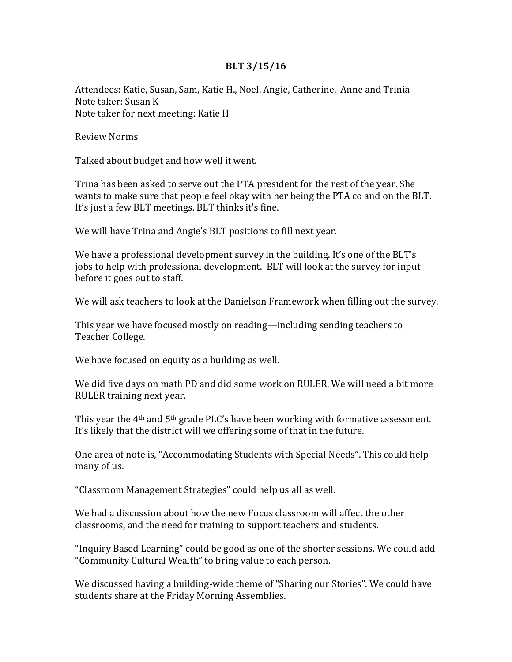## **BLT 3/15/16**

Attendees: Katie, Susan, Sam, Katie H., Noel, Angie, Catherine, Anne and Trinia Note taker: Susan K Note taker for next meeting: Katie H

Review Norms

Talked about budget and how well it went.

Trina has been asked to serve out the PTA president for the rest of the year. She wants to make sure that people feel okay with her being the PTA co and on the BLT. It's just a few BLT meetings. BLT thinks it's fine.

We will have Trina and Angie's BLT positions to fill next year.

We have a professional development survey in the building. It's one of the BLT's jobs to help with professional development. BLT will look at the survey for input before it goes out to staff.

We will ask teachers to look at the Danielson Framework when filling out the survey.

This year we have focused mostly on reading—including sending teachers to Teacher College.

We have focused on equity as a building as well.

We did five days on math PD and did some work on RULER. We will need a bit more RULER training next year.

This year the 4<sup>th</sup> and 5<sup>th</sup> grade PLC's have been working with formative assessment. It's likely that the district will we offering some of that in the future.

One area of note is, "Accommodating Students with Special Needs". This could help many of us.

"Classroom Management Strategies" could help us all as well.

We had a discussion about how the new Focus classroom will affect the other classrooms, and the need for training to support teachers and students.

"Inquiry Based Learning" could be good as one of the shorter sessions. We could add "Community Cultural Wealth" to bring value to each person.

We discussed having a building-wide theme of "Sharing our Stories". We could have students share at the Friday Morning Assemblies.